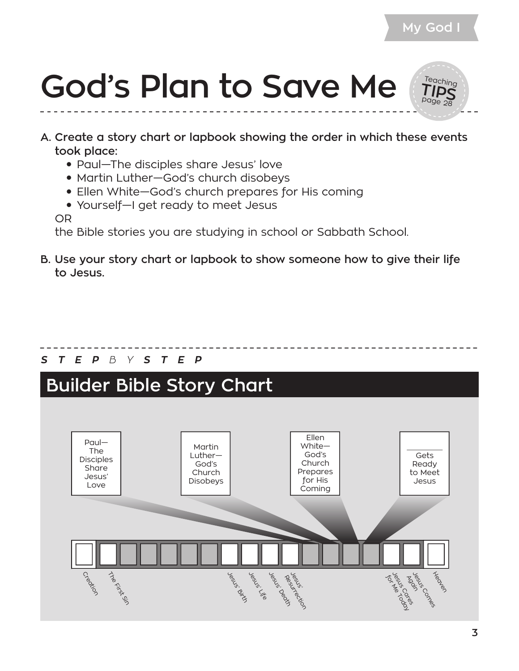

- **A. Create a story chart or lapbook showing the order in which these events took place:**
	- Paul—The disciples share Jesus' love
	- Martin Luther–God's church disobeys
	- Ellen White—God's church prepares for His coming
	- Yourself–I get ready to meet Jesus

OR

the Bible stories you are studying in school or Sabbath School.

**B. Use your story chart or lapbook to show someone how to give their life to Jesus.**

#### *S T E P B Y S T E P*

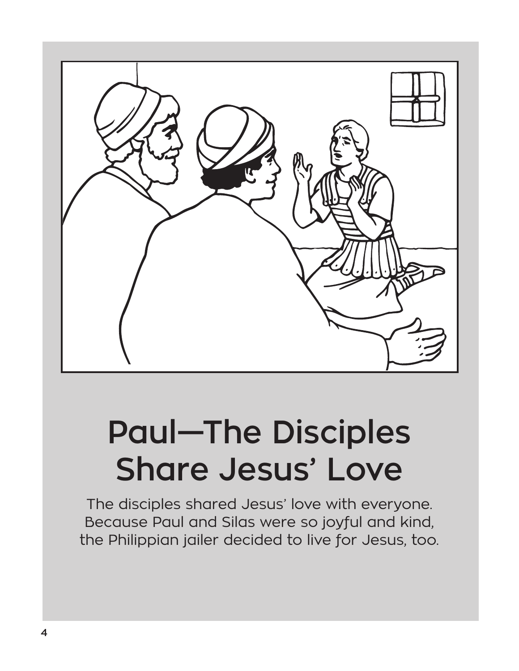

### **Paul—The Disciples Share Jesus' Love**

The disciples shared Jesus' love with everyone. Because Paul and Silas were so joyful and kind, the Philippian jailer decided to live for Jesus, too.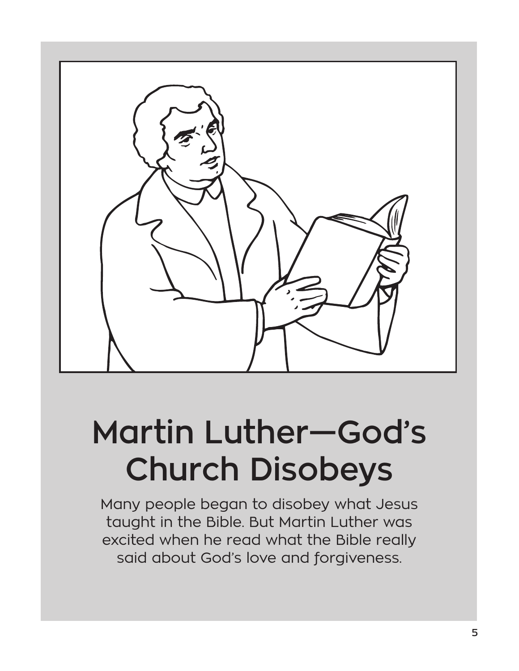

# **Martin Luther—God's Church Disobeys**

Many people began to disobey what Jesus taught in the Bible. But Martin Luther was excited when he read what the Bible really said about God's love and forgiveness.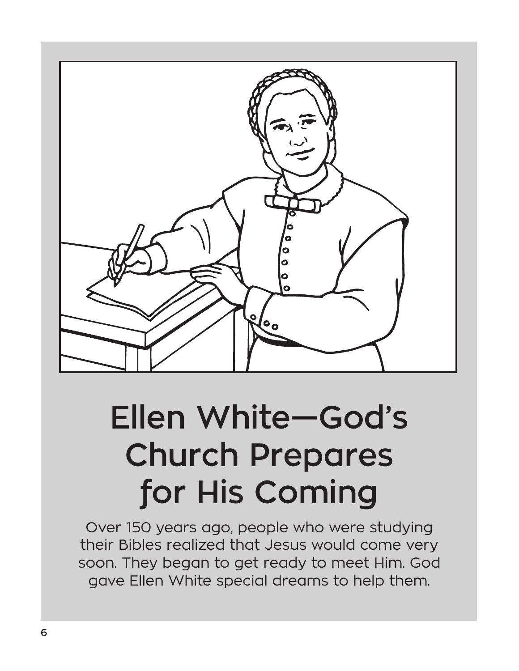

# **Ellen White—God's Church Prepares for His Coming**

Over 150 years ago, people who were studying their Bibles realized that Jesus would come very soon. They began to get ready to meet Him. God gave Ellen White special dreams to help them.